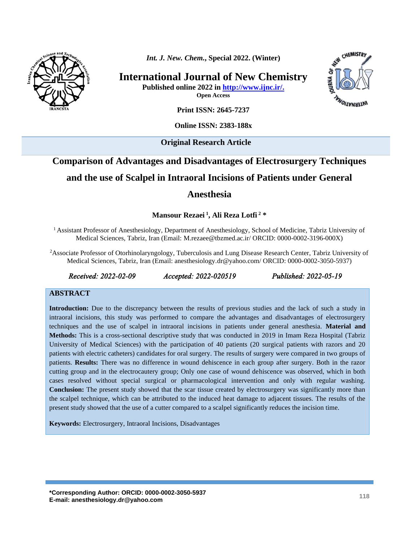

*Int. J. New. Chem.***, Special 2022. (Winter)**

**International Journal of New Chemistry**

**Published online 2022 in [http://www.ijnc.ir/.](http://www.ijnc.ir/)**

**Open Access**



**Print ISSN: 2645-7237**

**Online ISSN: 2383-188x** 

**Original Research Article** 

# **Comparison of Advantages and Disadvantages of Electrosurgery Techniques**

# **and the use of Scalpel in Intraoral Incisions of Patients under General**

# **Anesthesia**

**Mansour Rezaei <sup>1</sup> , Ali Reza Lotfi <sup>2</sup> \***

<sup>1</sup> Assistant Professor of Anesthesiology, Department of Anesthesiology, School of Medicine, Tabriz University of Medical Sciences, Tabriz, Iran (Email: [M.rezaee@tbzmed.ac.ir/](mailto:M.rezaee@tbzmed.ac.ir/) ORCID: 0000-0002-3196-000X)

<sup>2</sup>Associate Professor of Otorhinolaryngology, Tuberculosis and Lung Disease Research Center, Tabriz University of Medical Sciences, Tabriz, Iran (Email: anesthesiology.dr@yahoo.com/ ORCID: 0000-0002-3050-5937)

*Received: 2022-02-09 Accepted: 2022-020519 Published: 2022-05-19* 

#### **ABSTRACT**

**Introduction:** Due to the discrepancy between the results of previous studies and the lack of such a study in intraoral incisions, this study was performed to compare the advantages and disadvantages of electrosurgery techniques and the use of scalpel in intraoral incisions in patients under general anesthesia. **Material and Methods:** This is a cross-sectional descriptive study that was conducted in 2019 in Imam Reza Hospital (Tabriz University of Medical Sciences) with the participation of 40 patients (20 surgical patients with razors and 20 patients with electric catheters) candidates for oral surgery. The results of surgery were compared in two groups of patients. **Results:** There was no difference in wound dehiscence in each group after surgery. Both in the razor cutting group and in the electrocautery group; Only one case of wound dehiscence was observed, which in both cases resolved without special surgical or pharmacological intervention and only with regular washing. **Conclusion:** The present study showed that the scar tissue created by electrosurgery was significantly more than the scalpel technique, which can be attributed to the induced heat damage to adjacent tissues. The results of the present study showed that the use of a cutter compared to a scalpel significantly reduces the incision time.

**Keywords:** Electrosurgery, Intraoral Incisions, Disadvantages

**\*Corresponding Author: ORCID: 0000-0002-3050-5937 E-mail: anesthesiology.dr@yahoo.com <sup>118</sup>**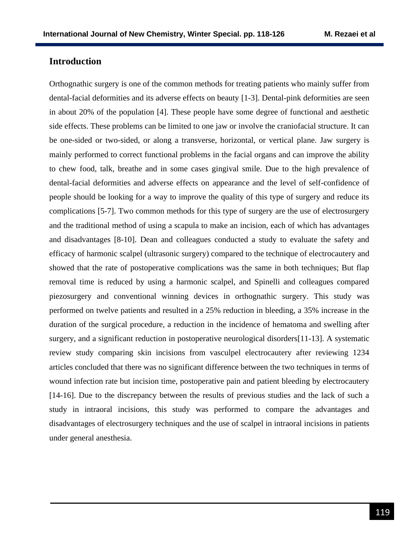# **Introduction**

Orthognathic surgery is one of the common methods for treating patients who mainly suffer from dental-facial deformities and its adverse effects on beauty [1-3]. Dental-pink deformities are seen in about 20% of the population [4]. These people have some degree of functional and aesthetic side effects. These problems can be limited to one jaw or involve the craniofacial structure. It can be one-sided or two-sided, or along a transverse, horizontal, or vertical plane. Jaw surgery is mainly performed to correct functional problems in the facial organs and can improve the ability to chew food, talk, breathe and in some cases gingival smile. Due to the high prevalence of dental-facial deformities and adverse effects on appearance and the level of self-confidence of people should be looking for a way to improve the quality of this type of surgery and reduce its complications [5-7]. Two common methods for this type of surgery are the use of electrosurgery and the traditional method of using a scapula to make an incision, each of which has advantages and disadvantages [8-10]. Dean and colleagues conducted a study to evaluate the safety and efficacy of harmonic scalpel (ultrasonic surgery) compared to the technique of electrocautery and showed that the rate of postoperative complications was the same in both techniques; But flap removal time is reduced by using a harmonic scalpel, and Spinelli and colleagues compared piezosurgery and conventional winning devices in orthognathic surgery. This study was performed on twelve patients and resulted in a 25% reduction in bleeding, a 35% increase in the duration of the surgical procedure, a reduction in the incidence of hematoma and swelling after surgery, and a significant reduction in postoperative neurological disorders[11-13]. A systematic review study comparing skin incisions from vasculpel electrocautery after reviewing 1234 articles concluded that there was no significant difference between the two techniques in terms of wound infection rate but incision time, postoperative pain and patient bleeding by electrocautery [14-16]. Due to the discrepancy between the results of previous studies and the lack of such a study in intraoral incisions, this study was performed to compare the advantages and disadvantages of electrosurgery techniques and the use of scalpel in intraoral incisions in patients under general anesthesia.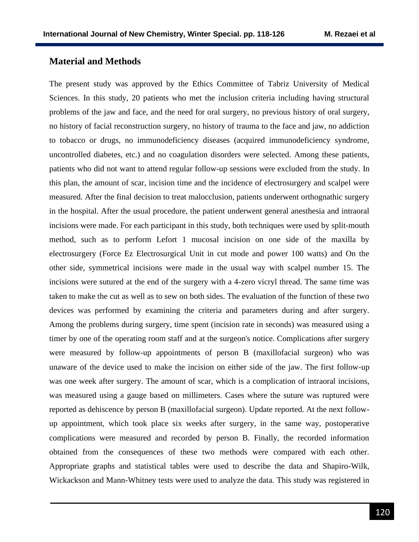# **Material and Methods**

The present study was approved by the Ethics Committee of Tabriz University of Medical Sciences. In this study, 20 patients who met the inclusion criteria including having structural problems of the jaw and face, and the need for oral surgery, no previous history of oral surgery, no history of facial reconstruction surgery, no history of trauma to the face and jaw, no addiction to tobacco or drugs, no immunodeficiency diseases (acquired immunodeficiency syndrome, uncontrolled diabetes, etc.) and no coagulation disorders were selected. Among these patients, patients who did not want to attend regular follow-up sessions were excluded from the study. In this plan, the amount of scar, incision time and the incidence of electrosurgery and scalpel were measured. After the final decision to treat malocclusion, patients underwent orthognathic surgery in the hospital. After the usual procedure, the patient underwent general anesthesia and intraoral incisions were made. For each participant in this study, both techniques were used by split-mouth method, such as to perform Lefort 1 mucosal incision on one side of the maxilla by electrosurgery (Force Ez Electrosurgical Unit in cut mode and power 100 watts) and On the other side, symmetrical incisions were made in the usual way with scalpel number 15. The incisions were sutured at the end of the surgery with a 4-zero vicryl thread. The same time was taken to make the cut as well as to sew on both sides. The evaluation of the function of these two devices was performed by examining the criteria and parameters during and after surgery. Among the problems during surgery, time spent (incision rate in seconds) was measured using a timer by one of the operating room staff and at the surgeon's notice. Complications after surgery were measured by follow-up appointments of person B (maxillofacial surgeon) who was unaware of the device used to make the incision on either side of the jaw. The first follow-up was one week after surgery. The amount of scar, which is a complication of intraoral incisions, was measured using a gauge based on millimeters. Cases where the suture was ruptured were reported as dehiscence by person B (maxillofacial surgeon). Update reported. At the next followup appointment, which took place six weeks after surgery, in the same way, postoperative complications were measured and recorded by person B. Finally, the recorded information obtained from the consequences of these two methods were compared with each other. Appropriate graphs and statistical tables were used to describe the data and Shapiro-Wilk, Wickackson and Mann-Whitney tests were used to analyze the data. This study was registered in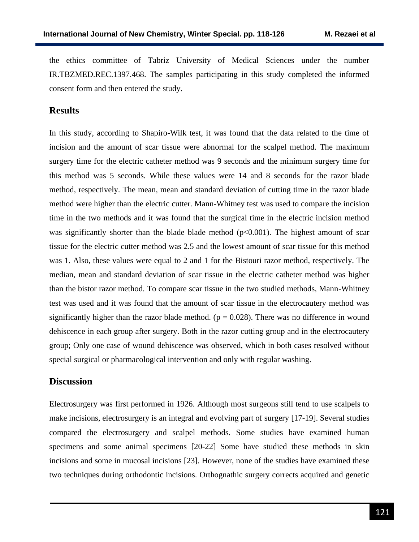the ethics committee of Tabriz University of Medical Sciences under the number [IR.TBZMED.REC.1397.468.](http://ethics.research.ac.ir/IR.TBZMED.REC.1397.468) The samples participating in this study completed the informed consent form and then entered the study.

#### **Results**

In this study, according to Shapiro-Wilk test, it was found that the data related to the time of incision and the amount of scar tissue were abnormal for the scalpel method. The maximum surgery time for the electric catheter method was 9 seconds and the minimum surgery time for this method was 5 seconds. While these values were 14 and 8 seconds for the razor blade method, respectively. The mean, mean and standard deviation of cutting time in the razor blade method were higher than the electric cutter. Mann-Whitney test was used to compare the incision time in the two methods and it was found that the surgical time in the electric incision method was significantly shorter than the blade blade method ( $p<0.001$ ). The highest amount of scar tissue for the electric cutter method was 2.5 and the lowest amount of scar tissue for this method was 1. Also, these values were equal to 2 and 1 for the Bistouri razor method, respectively. The median, mean and standard deviation of scar tissue in the electric catheter method was higher than the bistor razor method. To compare scar tissue in the two studied methods, Mann-Whitney test was used and it was found that the amount of scar tissue in the electrocautery method was significantly higher than the razor blade method. ( $p = 0.028$ ). There was no difference in wound dehiscence in each group after surgery. Both in the razor cutting group and in the electrocautery group; Only one case of wound dehiscence was observed, which in both cases resolved without special surgical or pharmacological intervention and only with regular washing.

#### **Discussion**

Electrosurgery was first performed in 1926. Although most surgeons still tend to use scalpels to make incisions, electrosurgery is an integral and evolving part of surgery [17-19]. Several studies compared the electrosurgery and scalpel methods. Some studies have examined human specimens and some animal specimens [20-22] Some have studied these methods in skin incisions and some in mucosal incisions [23]. However, none of the studies have examined these two techniques during orthodontic incisions. Orthognathic surgery corrects acquired and genetic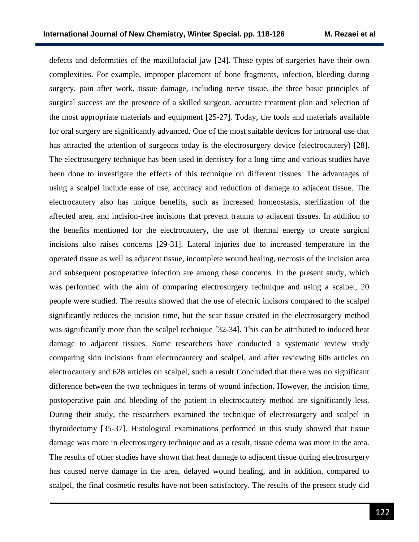defects and deformities of the maxillofacial jaw [24]. These types of surgeries have their own complexities. For example, improper placement of bone fragments, infection, bleeding during surgery, pain after work, tissue damage, including nerve tissue, the three basic principles of surgical success are the presence of a skilled surgeon, accurate treatment plan and selection of the most appropriate materials and equipment [25-27]. Today, the tools and materials available for oral surgery are significantly advanced. One of the most suitable devices for intraoral use that has attracted the attention of surgeons today is the electrosurgery device (electrocautery) [28]. The electrosurgery technique has been used in dentistry for a long time and various studies have been done to investigate the effects of this technique on different tissues. The advantages of using a scalpel include ease of use, accuracy and reduction of damage to adjacent tissue. The electrocautery also has unique benefits, such as increased homeostasis, sterilization of the affected area, and incision-free incisions that prevent trauma to adjacent tissues. In addition to the benefits mentioned for the electrocautery, the use of thermal energy to create surgical incisions also raises concerns [29-31]. Lateral injuries due to increased temperature in the operated tissue as well as adjacent tissue, incomplete wound healing, necrosis of the incision area and subsequent postoperative infection are among these concerns. In the present study, which was performed with the aim of comparing electrosurgery technique and using a scalpel, 20 people were studied. The results showed that the use of electric incisors compared to the scalpel significantly reduces the incision time, but the scar tissue created in the electrosurgery method was significantly more than the scalpel technique [32-34]. This can be attributed to induced heat damage to adjacent tissues. Some researchers have conducted a systematic review study comparing skin incisions from electrocautery and scalpel, and after reviewing 606 articles on electrocautery and 628 articles on scalpel, such a result Concluded that there was no significant difference between the two techniques in terms of wound infection. However, the incision time, postoperative pain and bleeding of the patient in electrocautery method are significantly less. During their study, the researchers examined the technique of electrosurgery and scalpel in thyroidectomy [35-37]. Histological examinations performed in this study showed that tissue damage was more in electrosurgery technique and as a result, tissue edema was more in the area. The results of other studies have shown that heat damage to adjacent tissue during electrosurgery has caused nerve damage in the area, delayed wound healing, and in addition, compared to scalpel, the final cosmetic results have not been satisfactory. The results of the present study did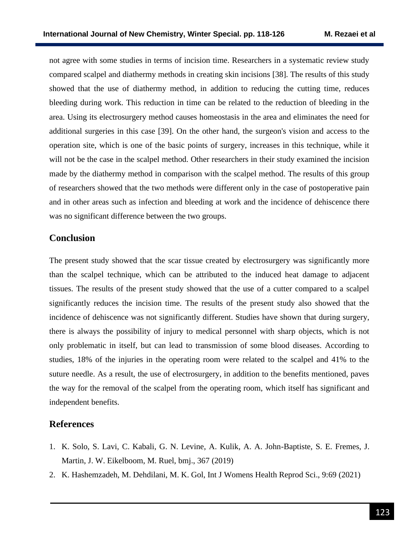not agree with some studies in terms of incision time. Researchers in a systematic review study compared scalpel and diathermy methods in creating skin incisions [38]. The results of this study showed that the use of diathermy method, in addition to reducing the cutting time, reduces bleeding during work. This reduction in time can be related to the reduction of bleeding in the area. Using its electrosurgery method causes homeostasis in the area and eliminates the need for additional surgeries in this case [39]. On the other hand, the surgeon's vision and access to the operation site, which is one of the basic points of surgery, increases in this technique, while it will not be the case in the scalpel method. Other researchers in their study examined the incision made by the diathermy method in comparison with the scalpel method. The results of this group of researchers showed that the two methods were different only in the case of postoperative pain and in other areas such as infection and bleeding at work and the incidence of dehiscence there was no significant difference between the two groups.

# **Conclusion**

The present study showed that the scar tissue created by electrosurgery was significantly more than the scalpel technique, which can be attributed to the induced heat damage to adjacent tissues. The results of the present study showed that the use of a cutter compared to a scalpel significantly reduces the incision time. The results of the present study also showed that the incidence of dehiscence was not significantly different. Studies have shown that during surgery, there is always the possibility of injury to medical personnel with sharp objects, which is not only problematic in itself, but can lead to transmission of some blood diseases. According to studies, 18% of the injuries in the operating room were related to the scalpel and 41% to the suture needle. As a result, the use of electrosurgery, in addition to the benefits mentioned, paves the way for the removal of the scalpel from the operating room, which itself has significant and independent benefits.

## **References**

- 1. K. Solo, S. Lavi, C. Kabali, G. N. Levine, A. Kulik, A. A. John-Baptiste, S. E. Fremes, J. Martin, J. W. Eikelboom, M. Ruel, bmj., 367 (2019)
- 2. K. Hashemzadeh, M. Dehdilani, M. K. Gol, Int J Womens Health Reprod Sci., 9:69 (2021)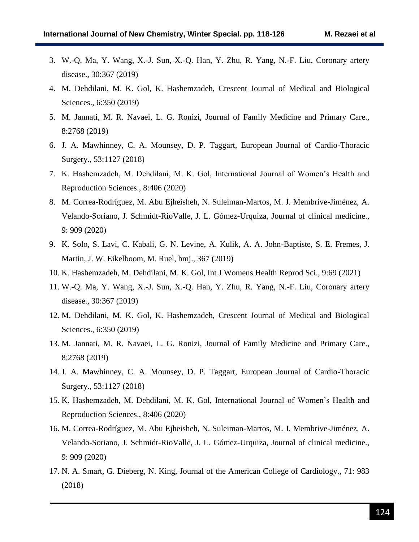- 3. W.-Q. Ma, Y. Wang, X.-J. Sun, X.-Q. Han, Y. Zhu, R. Yang, N.-F. Liu, Coronary artery disease., 30:367 (2019)
- 4. M. Dehdilani, M. K. Gol, K. Hashemzadeh, Crescent Journal of Medical and Biological Sciences., 6:350 (2019)
- 5. M. Jannati, M. R. Navaei, L. G. Ronizi, Journal of Family Medicine and Primary Care., 8:2768 (2019)
- 6. J. A. Mawhinney, C. A. Mounsey, D. P. Taggart, European Journal of Cardio-Thoracic Surgery., 53:1127 (2018)
- 7. K. Hashemzadeh, M. Dehdilani, M. K. Gol, International Journal of Women's Health and Reproduction Sciences., 8:406 (2020)
- 8. M. Correa-Rodríguez, M. Abu Ejheisheh, N. Suleiman-Martos, M. J. Membrive-Jiménez, A. Velando-Soriano, J. Schmidt-RioValle, J. L. Gómez-Urquiza, Journal of clinical medicine., 9: 909 (2020)
- 9. K. Solo, S. Lavi, C. Kabali, G. N. Levine, A. Kulik, A. A. John-Baptiste, S. E. Fremes, J. Martin, J. W. Eikelboom, M. Ruel, bmj., 367 (2019)
- 10. K. Hashemzadeh, M. Dehdilani, M. K. Gol, Int J Womens Health Reprod Sci., 9:69 (2021)
- 11. W.-Q. Ma, Y. Wang, X.-J. Sun, X.-Q. Han, Y. Zhu, R. Yang, N.-F. Liu, Coronary artery disease., 30:367 (2019)
- 12. M. Dehdilani, M. K. Gol, K. Hashemzadeh, Crescent Journal of Medical and Biological Sciences., 6:350 (2019)
- 13. M. Jannati, M. R. Navaei, L. G. Ronizi, Journal of Family Medicine and Primary Care., 8:2768 (2019)
- 14. J. A. Mawhinney, C. A. Mounsey, D. P. Taggart, European Journal of Cardio-Thoracic Surgery., 53:1127 (2018)
- 15. K. Hashemzadeh, M. Dehdilani, M. K. Gol, International Journal of Women's Health and Reproduction Sciences., 8:406 (2020)
- 16. M. Correa-Rodríguez, M. Abu Ejheisheh, N. Suleiman-Martos, M. J. Membrive-Jiménez, A. Velando-Soriano, J. Schmidt-RioValle, J. L. Gómez-Urquiza, Journal of clinical medicine., 9: 909 (2020)
- 17. N. A. Smart, G. Dieberg, N. King, Journal of the American College of Cardiology., 71: 983 (2018)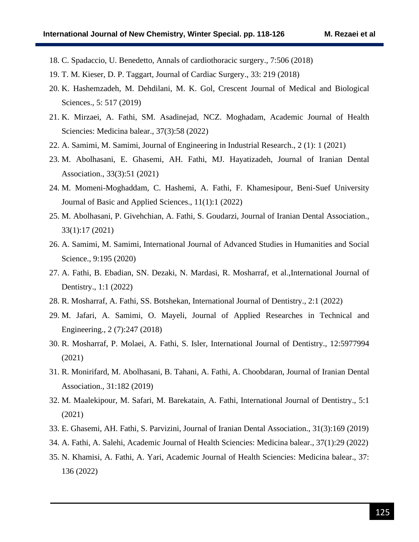- 18. C. Spadaccio, U. Benedetto, Annals of cardiothoracic surgery., 7:506 (2018)
- 19. T. M. Kieser, D. P. Taggart, Journal of Cardiac Surgery., 33: 219 (2018)
- 20. K. Hashemzadeh, M. Dehdilani, M. K. Gol, Crescent Journal of Medical and Biological Sciences., 5: 517 (2019)
- 21. K. Mirzaei, A. Fathi, SM. Asadinejad, NCZ. Moghadam, Academic Journal of Health Sciencies: Medicina balear., 37(3):58 (2022)
- 22. A. Samimi, M. Samimi, Journal of Engineering in Industrial Research., 2 (1): 1 (2021)
- 23. M. Abolhasani, E. Ghasemi, AH. Fathi, MJ. Hayatizadeh, Journal of Iranian Dental Association., 33(3):51 (2021)
- 24. M. Momeni-Moghaddam, C. Hashemi, A. Fathi, F. Khamesipour, Beni-Suef University Journal of Basic and Applied Sciences., 11(1):1 (2022)
- 25. M. Abolhasani, P. Givehchian, A. Fathi, S. Goudarzi, Journal of Iranian Dental Association., 33(1):17 (2021)
- 26. A. Samimi, M. Samimi, International Journal of Advanced Studies in Humanities and Social Science., 9:195 (2020)
- 27. A. Fathi, B. Ebadian, SN. Dezaki, N. Mardasi, R. Mosharraf, et al.,International Journal of Dentistry., 1:1 (2022)
- 28. R. Mosharraf, A. Fathi, SS. Botshekan, International Journal of Dentistry., 2:1 (2022)
- 29. M. Jafari, A. Samimi, O. Mayeli, Journal of Applied Researches in Technical and Engineering., 2 (7):247 (2018)
- 30. R. Mosharraf, P. Molaei, A. Fathi, S. Isler, International Journal of Dentistry., 12:5977994 (2021)
- 31. R. Monirifard, M. Abolhasani, B. Tahani, A. Fathi, A. Choobdaran, Journal of Iranian Dental Association., 31:182 (2019)
- 32. M. Maalekipour, M. Safari, M. Barekatain, A. Fathi, International Journal of Dentistry., 5:1 (2021)
- 33. E. Ghasemi, AH. Fathi, S. Parvizini, Journal of Iranian Dental Association., 31(3):169 (2019)
- 34. A. Fathi, A. Salehi, Academic Journal of Health Sciencies: Medicina balear., 37(1):29 (2022)
- 35. N. Khamisi, A. Fathi, A. Yari, Academic Journal of Health Sciencies: Medicina balear., 37: 136 (2022)